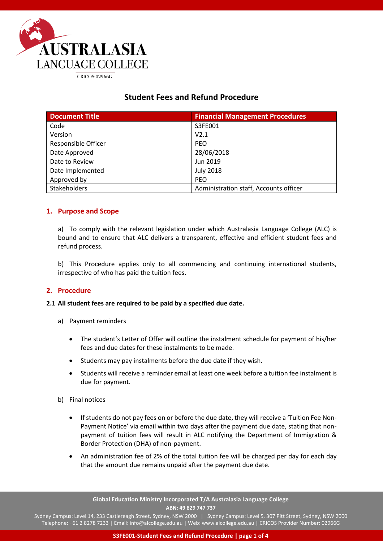

# **Student Fees and Refund Procedure**

| <b>Document Title</b>      | <b>Financial Management Procedures</b> |
|----------------------------|----------------------------------------|
| Code                       | S3FE001                                |
| Version                    | V2.1                                   |
| <b>Responsible Officer</b> | <b>PEO</b>                             |
| Date Approved              | 28/06/2018                             |
| Date to Review             | Jun 2019                               |
| Date Implemented           | <b>July 2018</b>                       |
| Approved by                | <b>PEO</b>                             |
| Stakeholders               | Administration staff, Accounts officer |

# **1. Purpose and Scope**

a) To comply with the relevant legislation under which Australasia Language College (ALC) is bound and to ensure that ALC delivers a transparent, effective and efficient student fees and refund process.

b) This Procedure applies only to all commencing and continuing international students, irrespective of who has paid the tuition fees.

# **2. Procedure**

### **2.1 All student fees are required to be paid by a specified due date.**

- a) Payment reminders
	- The student's Letter of Offer will outline the instalment schedule for payment of his/her fees and due dates for these instalments to be made.
	- Students may pay instalments before the due date if they wish.
	- Students will receive a reminder email at least one week before a tuition fee instalment is due for payment.
- b) Final notices
	- If students do not pay fees on or before the due date, they will receive a 'Tuition Fee Non-Payment Notice' via email within two days after the payment due date, stating that nonpayment of tuition fees will result in ALC notifying the Department of Immigration & Border Protection (DHA) of non-payment.
	- An administration fee of 2% of the total tuition fee will be charged per day for each day that the amount due remains unpaid after the payment due date.

**Global Education Ministry Incorporated T/A Australasia Language College ABN: 49 829 747 737**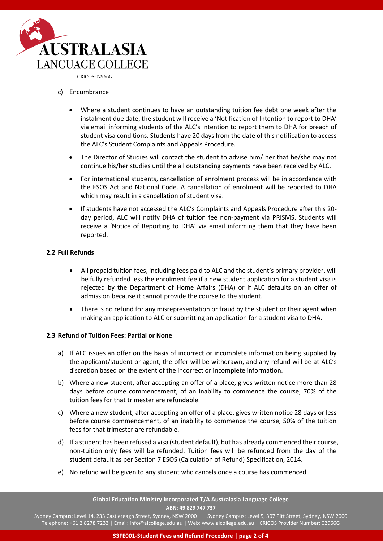

CRICOS:02966G

- c) Encumbrance
	- Where a student continues to have an outstanding tuition fee debt one week after the instalment due date, the student will receive a 'Notification of Intention to report to DHA' via email informing students of the ALC's intention to report them to DHA for breach of student visa conditions. Students have 20 days from the date of this notification to access the ALC's Student Complaints and Appeals Procedure.
	- The Director of Studies will contact the student to advise him/ her that he/she may not continue his/her studies until the all outstanding payments have been received by ALC.
	- For international students, cancellation of enrolment process will be in accordance with the ESOS Act and National Code. A cancellation of enrolment will be reported to DHA which may result in a cancellation of student visa.
	- If students have not accessed the ALC's Complaints and Appeals Procedure after this 20 day period, ALC will notify DHA of tuition fee non-payment via PRISMS. Students will receive a 'Notice of Reporting to DHA' via email informing them that they have been reported.

# **2.2 Full Refunds**

- All prepaid tuition fees, including fees paid to ALC and the student's primary provider, will be fully refunded less the enrolment fee if a new student application for a student visa is rejected by the Department of Home Affairs (DHA) or if ALC defaults on an offer of admission because it cannot provide the course to the student.
- There is no refund for any misrepresentation or fraud by the student or their agent when making an application to ALC or submitting an application for a student visa to DHA.

### **2.3 Refund of Tuition Fees: Partial or None**

- a) If ALC issues an offer on the basis of incorrect or incomplete information being supplied by the applicant/student or agent, the offer will be withdrawn, and any refund will be at ALC's discretion based on the extent of the incorrect or incomplete information.
- b) Where a new student, after accepting an offer of a place, gives written notice more than 28 days before course commencement, of an inability to commence the course, 70% of the tuition fees for that trimester are refundable.
- c) Where a new student, after accepting an offer of a place, gives written notice 28 days or less before course commencement, of an inability to commence the course, 50% of the tuition fees for that trimester are refundable.
- d) If a student has been refused a visa (student default), but has already commenced their course, non-tuition only fees will be refunded. Tuition fees will be refunded from the day of the student default as per Section 7 ESOS (Calculation of Refund) Specification, 2014.
- e) No refund will be given to any student who cancels once a course has commenced.

**Global Education Ministry Incorporated T/A Australasia Language College ABN: 49 829 747 737**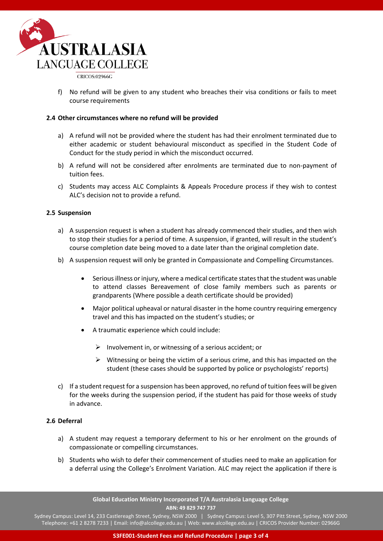

CRICOS:02966G

f) No refund will be given to any student who breaches their visa conditions or fails to meet course requirements

#### **2.4 Other circumstances where no refund will be provided**

- a) A refund will not be provided where the student has had their enrolment terminated due to either academic or student behavioural misconduct as specified in the Student Code of Conduct for the study period in which the misconduct occurred.
- b) A refund will not be considered after enrolments are terminated due to non-payment of tuition fees.
- c) Students may access ALC Complaints & Appeals Procedure process if they wish to contest ALC's decision not to provide a refund.

#### **2.5 Suspension**

- a) A suspension request is when a student has already commenced their studies, and then wish to stop their studies for a period of time. A suspension, if granted, will result in the student's course completion date being moved to a date later than the original completion date.
- b) A suspension request will only be granted in Compassionate and Compelling Circumstances.
	- Serious illness or injury, where a medical certificate states that the student was unable to attend classes Bereavement of close family members such as parents or grandparents (Where possible a death certificate should be provided)
	- Major political upheaval or natural disaster in the home country requiring emergency travel and this has impacted on the student's studies; or
	- A traumatic experience which could include:
		- $\triangleright$  Involvement in, or witnessing of a serious accident; or
		- $\triangleright$  Witnessing or being the victim of a serious crime, and this has impacted on the student (these cases should be supported by police or psychologists' reports)
- c) If a student request for a suspension has been approved, no refund of tuition fees will be given for the weeks during the suspension period, if the student has paid for those weeks of study in advance.

### **2.6 Deferral**

- a) A student may request a temporary deferment to his or her enrolment on the grounds of compassionate or compelling circumstances.
- b) Students who wish to defer their commencement of studies need to make an application for a deferral using the College's Enrolment Variation. ALC may reject the application if there is

**Global Education Ministry Incorporated T/A Australasia Language College ABN: 49 829 747 737**